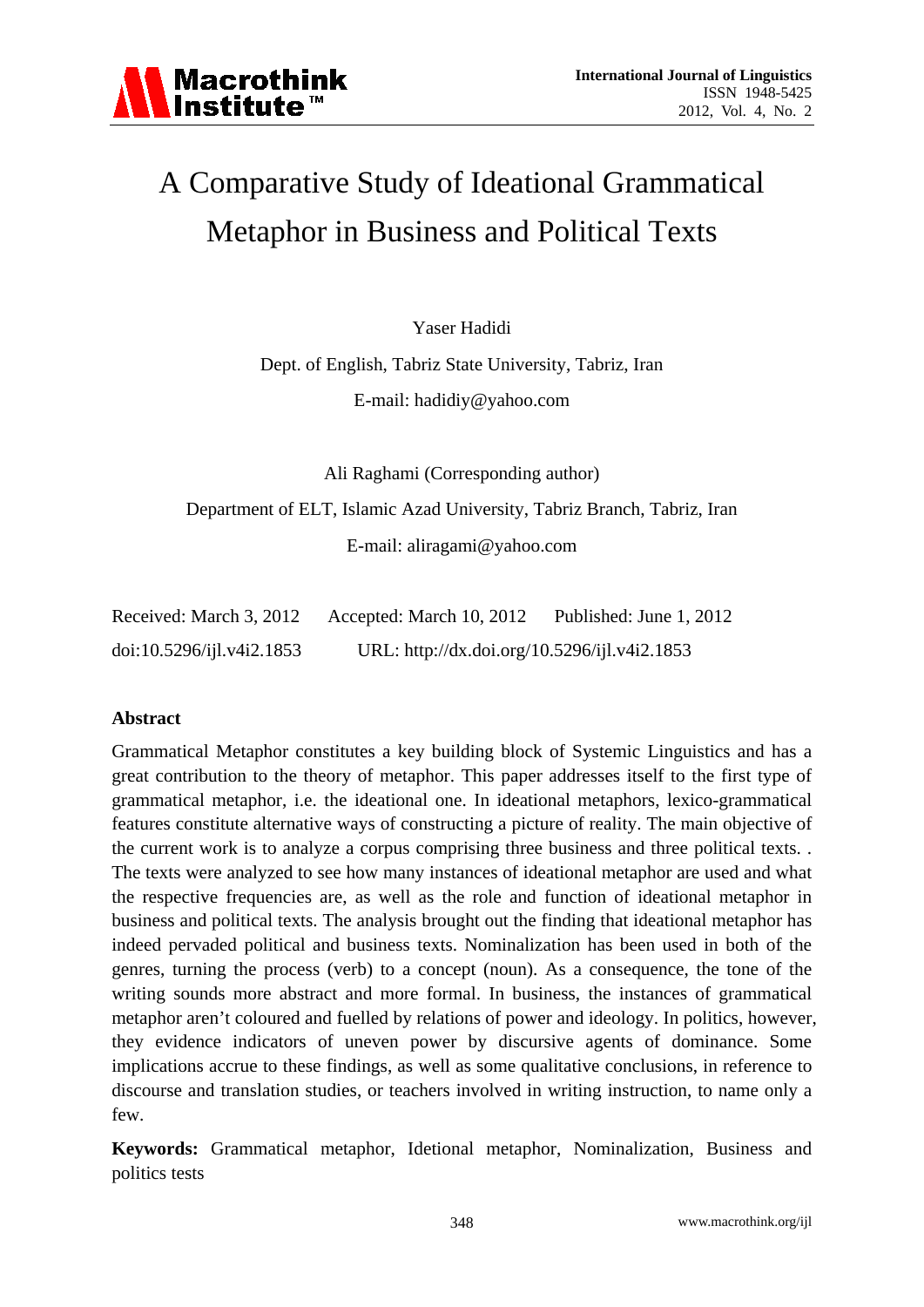# A Comparative Study of Ideational Grammatical Metaphor in Business and Political Texts

Yaser Hadidi

Dept. of English, Tabriz State University, Tabriz, Iran E-mail: hadidiy@yahoo.com

Ali Raghami (Corresponding author)

Department of ELT, Islamic Azad University, Tabriz Branch, Tabriz, Iran E-mail: aliragami@yahoo.com

| Received: March 3, 2012   | Accepted: March 10, 2012                     | Published: June 1, 2012 |
|---------------------------|----------------------------------------------|-------------------------|
| doi:10.5296/ij1.v4i2.1853 | URL: http://dx.doi.org/10.5296/ijl.v4i2.1853 |                         |

# **Abstract**

Grammatical Metaphor constitutes a key building block of Systemic Linguistics and has a great contribution to the theory of metaphor. This paper addresses itself to the first type of grammatical metaphor, i.e. the ideational one. In ideational metaphors, lexico-grammatical features constitute alternative ways of constructing a picture of reality. The main objective of the current work is to analyze a corpus comprising three business and three political texts. . The texts were analyzed to see how many instances of ideational metaphor are used and what the respective frequencies are, as well as the role and function of ideational metaphor in business and political texts. The analysis brought out the finding that ideational metaphor has indeed pervaded political and business texts. Nominalization has been used in both of the genres, turning the process (verb) to a concept (noun). As a consequence, the tone of the writing sounds more abstract and more formal. In business, the instances of grammatical metaphor aren't coloured and fuelled by relations of power and ideology. In politics, however, they evidence indicators of uneven power by discursive agents of dominance. Some implications accrue to these findings, as well as some qualitative conclusions, in reference to discourse and translation studies, or teachers involved in writing instruction, to name only a few.

**Keywords:** Grammatical metaphor, Idetional metaphor, Nominalization, Business and politics tests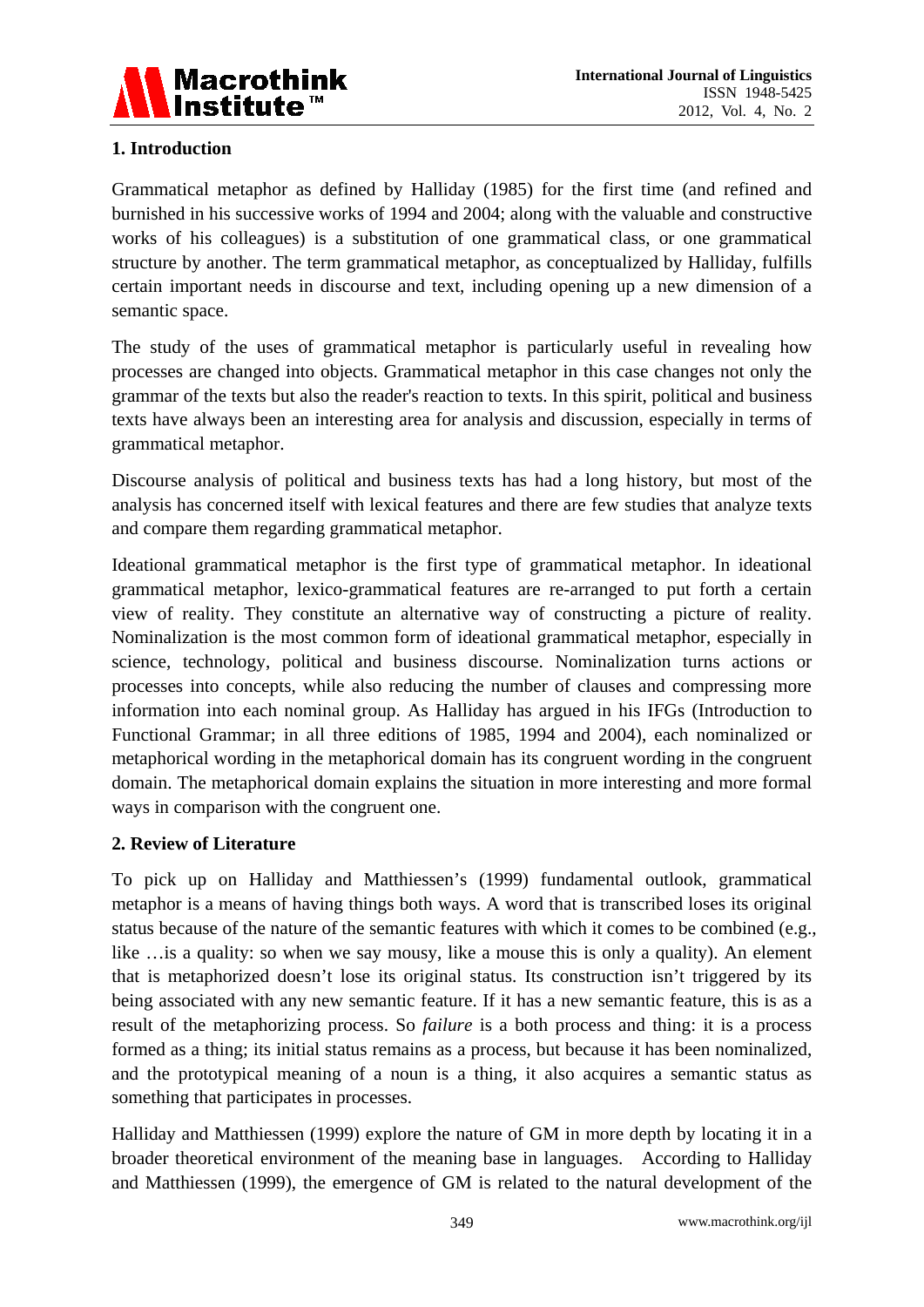

# **1. Introduction**

Grammatical metaphor as defined by Halliday (1985) for the first time (and refined and burnished in his successive works of 1994 and 2004; along with the valuable and constructive works of his colleagues) is a substitution of one grammatical class, or one grammatical structure by another. The term grammatical metaphor, as conceptualized by Halliday, fulfills certain important needs in discourse and text, including opening up a new dimension of a semantic space.

The study of the uses of grammatical metaphor is particularly useful in revealing how processes are changed into objects. Grammatical metaphor in this case changes not only the grammar of the texts but also the reader's reaction to texts. In this spirit, political and business texts have always been an interesting area for analysis and discussion, especially in terms of grammatical metaphor.

Discourse analysis of political and business texts has had a long history, but most of the analysis has concerned itself with lexical features and there are few studies that analyze texts and compare them regarding grammatical metaphor.

Ideational grammatical metaphor is the first type of grammatical metaphor. In ideational grammatical metaphor, lexico-grammatical features are re-arranged to put forth a certain view of reality. They constitute an alternative way of constructing a picture of reality. Nominalization is the most common form of ideational grammatical metaphor, especially in science, technology, political and business discourse. Nominalization turns actions or processes into concepts, while also reducing the number of clauses and compressing more information into each nominal group. As Halliday has argued in his IFGs (Introduction to Functional Grammar; in all three editions of 1985, 1994 and 2004), each nominalized or metaphorical wording in the metaphorical domain has its congruent wording in the congruent domain. The metaphorical domain explains the situation in more interesting and more formal ways in comparison with the congruent one.

# **2. Review of Literature**

To pick up on Halliday and Matthiessen's (1999) fundamental outlook, grammatical metaphor is a means of having things both ways. A word that is transcribed loses its original status because of the nature of the semantic features with which it comes to be combined (e.g., like …is a quality: so when we say mousy, like a mouse this is only a quality). An element that is metaphorized doesn't lose its original status. Its construction isn't triggered by its being associated with any new semantic feature. If it has a new semantic feature, this is as a result of the metaphorizing process. So *failure* is a both process and thing: it is a process formed as a thing; its initial status remains as a process, but because it has been nominalized, and the prototypical meaning of a noun is a thing, it also acquires a semantic status as something that participates in processes.

Halliday and Matthiessen (1999) explore the nature of GM in more depth by locating it in a broader theoretical environment of the meaning base in languages. According to Halliday and Matthiessen (1999), the emergence of GM is related to the natural development of the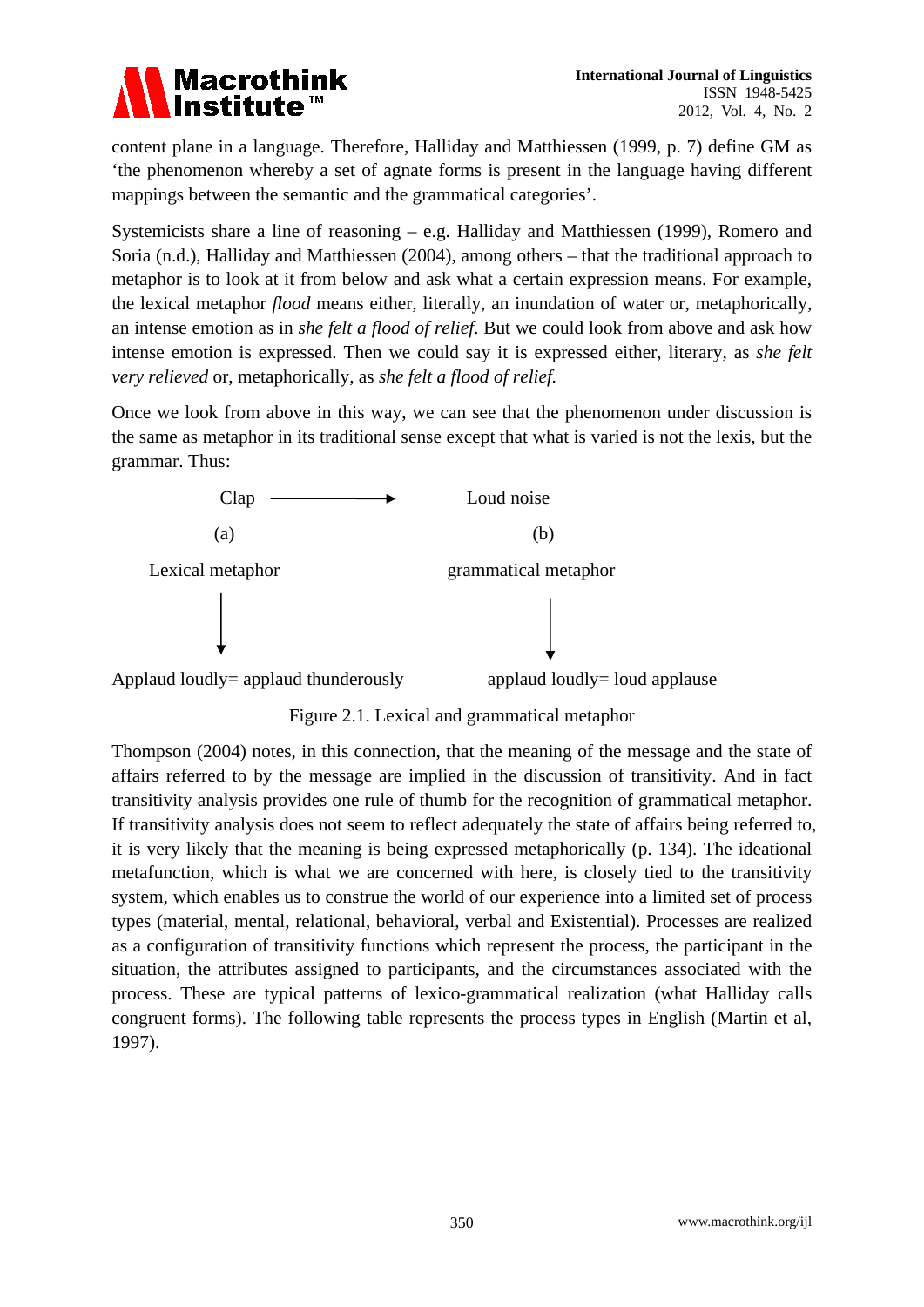

content plane in a language. Therefore, Halliday and Matthiessen (1999, p. 7) define GM as 'the phenomenon whereby a set of agnate forms is present in the language having different mappings between the semantic and the grammatical categories'.

Systemicists share a line of reasoning – e.g. Halliday and Matthiessen (1999), Romero and Soria (n.d.), Halliday and Matthiessen (2004), among others – that the traditional approach to metaphor is to look at it from below and ask what a certain expression means. For example, the lexical metaphor *flood* means either, literally, an inundation of water or, metaphorically, an intense emotion as in *she felt a flood of relief*. But we could look from above and ask how intense emotion is expressed. Then we could say it is expressed either, literary, as *she felt very relieved* or, metaphorically, as *she felt a flood of relief.*

Once we look from above in this way, we can see that the phenomenon under discussion is the same as metaphor in its traditional sense except that what is varied is not the lexis, but the grammar. Thus:



Figure 2.1. Lexical and grammatical metaphor

Thompson (2004) notes, in this connection, that the meaning of the message and the state of affairs referred to by the message are implied in the discussion of transitivity. And in fact transitivity analysis provides one rule of thumb for the recognition of grammatical metaphor. If transitivity analysis does not seem to reflect adequately the state of affairs being referred to, it is very likely that the meaning is being expressed metaphorically (p. 134). The ideational metafunction, which is what we are concerned with here, is closely tied to the transitivity system, which enables us to construe the world of our experience into a limited set of process types (material, mental, relational, behavioral, verbal and Existential). Processes are realized as a configuration of transitivity functions which represent the process, the participant in the situation, the attributes assigned to participants, and the circumstances associated with the process. These are typical patterns of lexico-grammatical realization (what Halliday calls congruent forms). The following table represents the process types in English (Martin et al, 1997).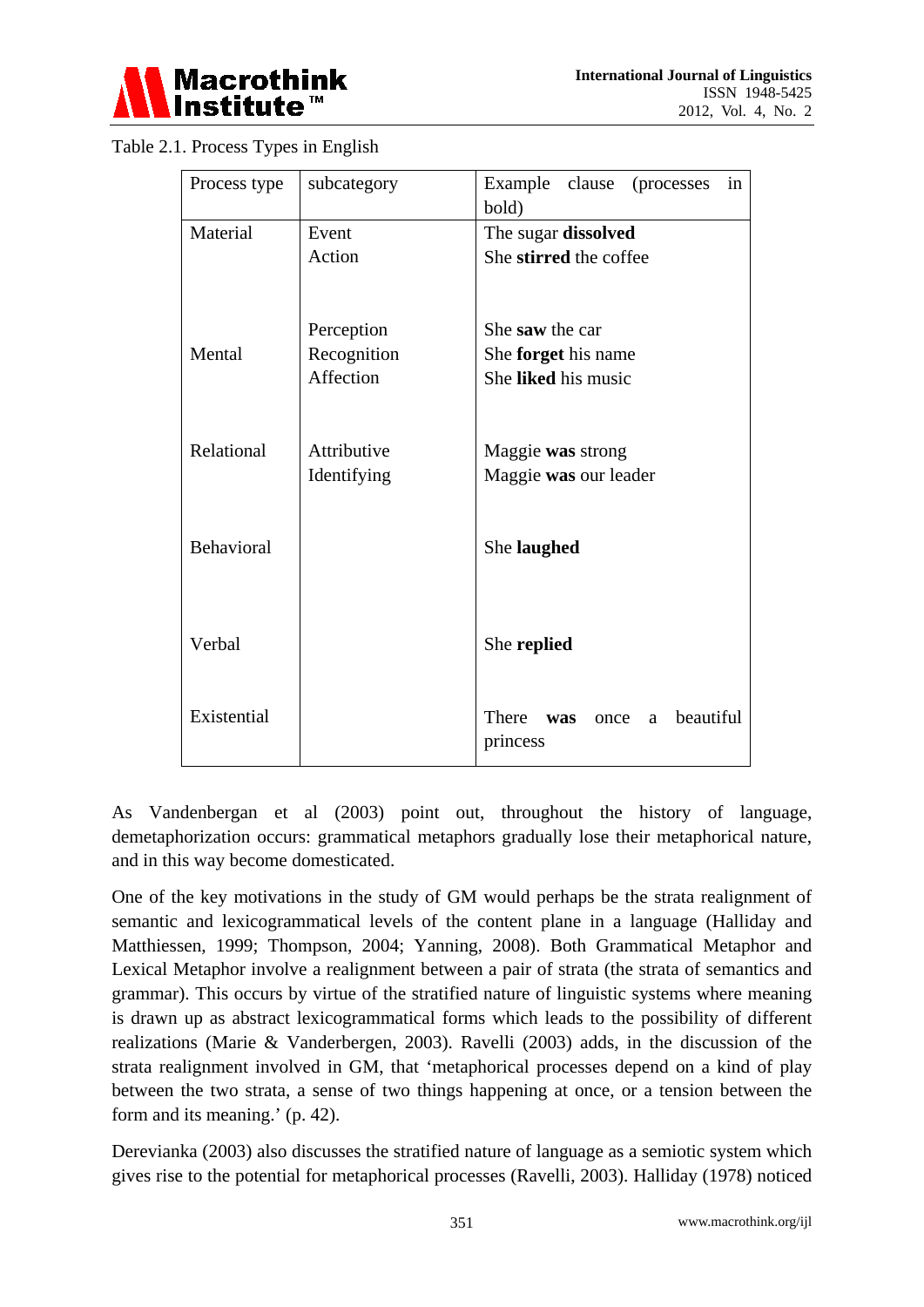

| Process type | subcategory                            | Example clause<br>(processes)<br>in<br>bold)                  |
|--------------|----------------------------------------|---------------------------------------------------------------|
| Material     | Event<br>Action                        | The sugar dissolved<br>She stirred the coffee                 |
| Mental       | Perception<br>Recognition<br>Affection | She saw the car<br>She forget his name<br>She liked his music |
| Relational   | Attributive<br>Identifying             | Maggie was strong<br>Maggie was our leader                    |
| Behavioral   |                                        | She laughed                                                   |
| Verbal       |                                        | She replied                                                   |
| Existential  |                                        | There<br>beautiful<br>was<br>once<br>a -<br>princess          |

Table 2.1. Process Types in English

As Vandenbergan et al (2003) point out, throughout the history of language, demetaphorization occurs: grammatical metaphors gradually lose their metaphorical nature, and in this way become domesticated.

One of the key motivations in the study of GM would perhaps be the strata realignment of semantic and lexicogrammatical levels of the content plane in a language (Halliday and Matthiessen, 1999; Thompson, 2004; Yanning, 2008). Both Grammatical Metaphor and Lexical Metaphor involve a realignment between a pair of strata (the strata of semantics and grammar). This occurs by virtue of the stratified nature of linguistic systems where meaning is drawn up as abstract lexicogrammatical forms which leads to the possibility of different realizations (Marie & Vanderbergen, 2003). Ravelli (2003) adds, in the discussion of the strata realignment involved in GM, that 'metaphorical processes depend on a kind of play between the two strata, a sense of two things happening at once, or a tension between the form and its meaning.' (p. 42).

Derevianka (2003) also discusses the stratified nature of language as a semiotic system which gives rise to the potential for metaphorical processes (Ravelli, 2003). Halliday (1978) noticed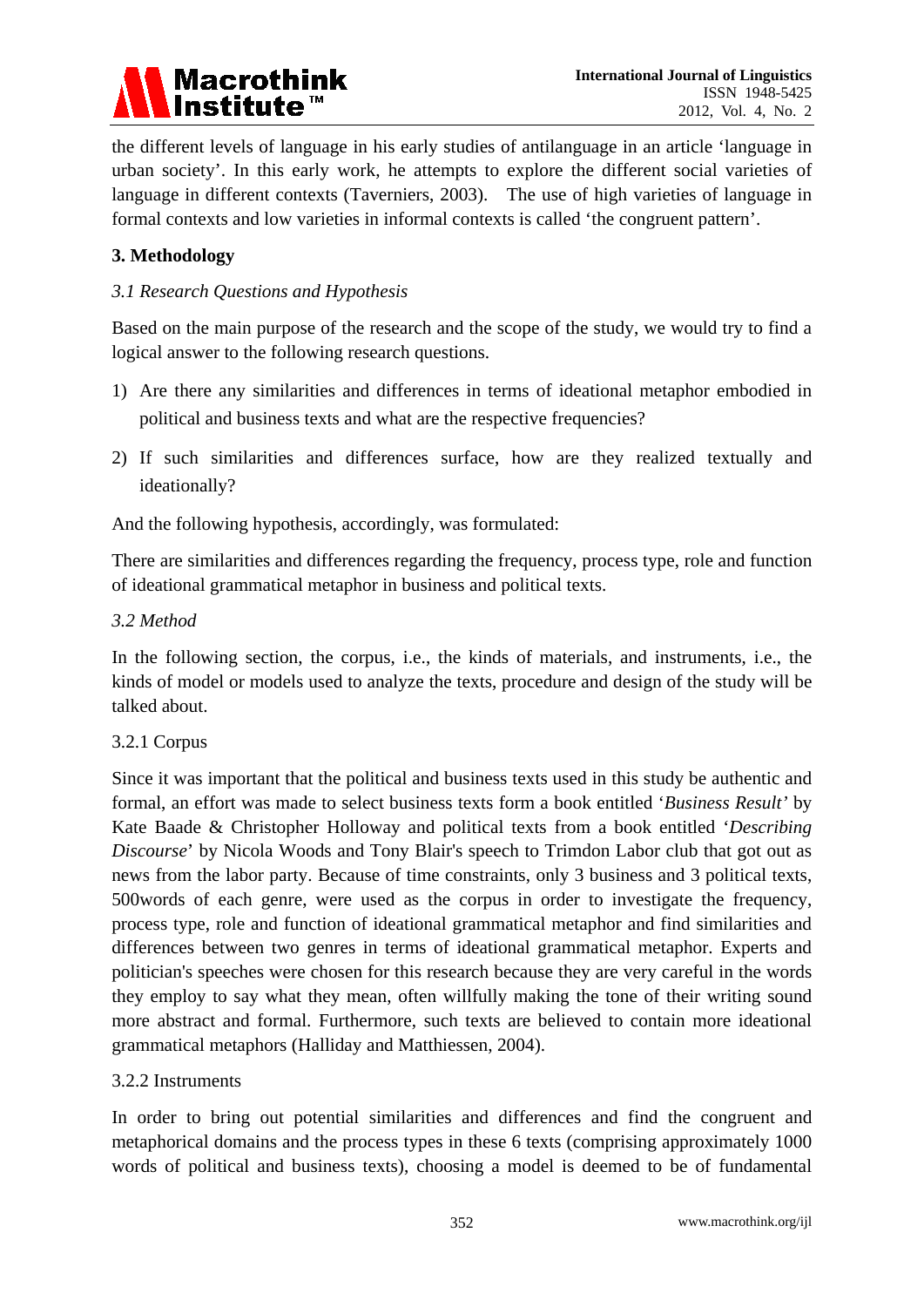

the different levels of language in his early studies of antilanguage in an article 'language in urban society'. In this early work, he attempts to explore the different social varieties of language in different contexts (Taverniers, 2003). The use of high varieties of language in formal contexts and low varieties in informal contexts is called 'the congruent pattern'.

# **3. Methodology**

### *3.1 Research Questions and Hypothesis*

Based on the main purpose of the research and the scope of the study, we would try to find a logical answer to the following research questions.

- 1) Are there any similarities and differences in terms of ideational metaphor embodied in political and business texts and what are the respective frequencies?
- 2) If such similarities and differences surface, how are they realized textually and ideationally?

And the following hypothesis, accordingly, was formulated:

There are similarities and differences regarding the frequency, process type, role and function of ideational grammatical metaphor in business and political texts.

#### *3.2 Method*

In the following section, the corpus, i.e., the kinds of materials, and instruments, i.e., the kinds of model or models used to analyze the texts, procedure and design of the study will be talked about.

#### 3.2.1 Corpus

Since it was important that the political and business texts used in this study be authentic and formal, an effort was made to select business texts form a book entitled '*Business Result'* by Kate Baade & Christopher Holloway and political texts from a book entitled '*Describing Discourse*' by Nicola Woods and Tony Blair's speech to Trimdon Labor club that got out as news from the labor party. Because of time constraints, only 3 business and 3 political texts, 500words of each genre, were used as the corpus in order to investigate the frequency, process type, role and function of ideational grammatical metaphor and find similarities and differences between two genres in terms of ideational grammatical metaphor. Experts and politician's speeches were chosen for this research because they are very careful in the words they employ to say what they mean, often willfully making the tone of their writing sound more abstract and formal. Furthermore, such texts are believed to contain more ideational grammatical metaphors (Halliday and Matthiessen, 2004).

#### 3.2.2 Instruments

In order to bring out potential similarities and differences and find the congruent and metaphorical domains and the process types in these 6 texts (comprising approximately 1000 words of political and business texts), choosing a model is deemed to be of fundamental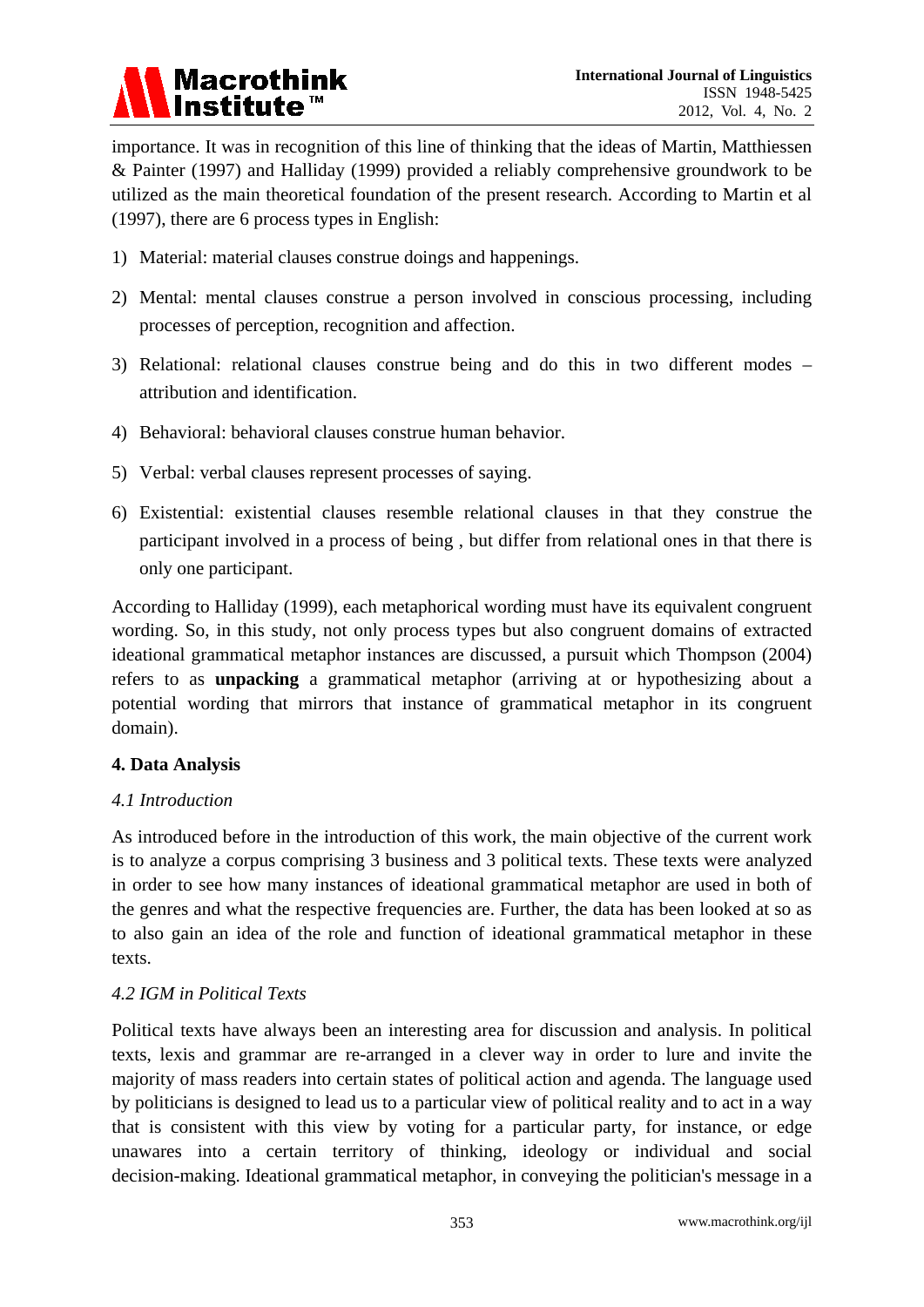

importance. It was in recognition of this line of thinking that the ideas of Martin, Matthiessen & Painter (1997) and Halliday (1999) provided a reliably comprehensive groundwork to be utilized as the main theoretical foundation of the present research. According to Martin et al (1997), there are 6 process types in English:

- 1) Material: material clauses construe doings and happenings.
- 2) Mental: mental clauses construe a person involved in conscious processing, including processes of perception, recognition and affection.
- 3) Relational: relational clauses construe being and do this in two different modes attribution and identification.
- 4) Behavioral: behavioral clauses construe human behavior.
- 5) Verbal: verbal clauses represent processes of saying.
- 6) Existential: existential clauses resemble relational clauses in that they construe the participant involved in a process of being , but differ from relational ones in that there is only one participant.

According to Halliday (1999), each metaphorical wording must have its equivalent congruent wording. So, in this study, not only process types but also congruent domains of extracted ideational grammatical metaphor instances are discussed, a pursuit which Thompson (2004) refers to as **unpacking** a grammatical metaphor (arriving at or hypothesizing about a potential wording that mirrors that instance of grammatical metaphor in its congruent domain).

#### **4. Data Analysis**

#### *4.1 Introduction*

As introduced before in the introduction of this work, the main objective of the current work is to analyze a corpus comprising 3 business and 3 political texts. These texts were analyzed in order to see how many instances of ideational grammatical metaphor are used in both of the genres and what the respective frequencies are. Further, the data has been looked at so as to also gain an idea of the role and function of ideational grammatical metaphor in these texts.

#### *4.2 IGM in Political Texts*

Political texts have always been an interesting area for discussion and analysis. In political texts, lexis and grammar are re-arranged in a clever way in order to lure and invite the majority of mass readers into certain states of political action and agenda. The language used by politicians is designed to lead us to a particular view of political reality and to act in a way that is consistent with this view by voting for a particular party, for instance, or edge unawares into a certain territory of thinking, ideology or individual and social decision-making. Ideational grammatical metaphor, in conveying the politician's message in a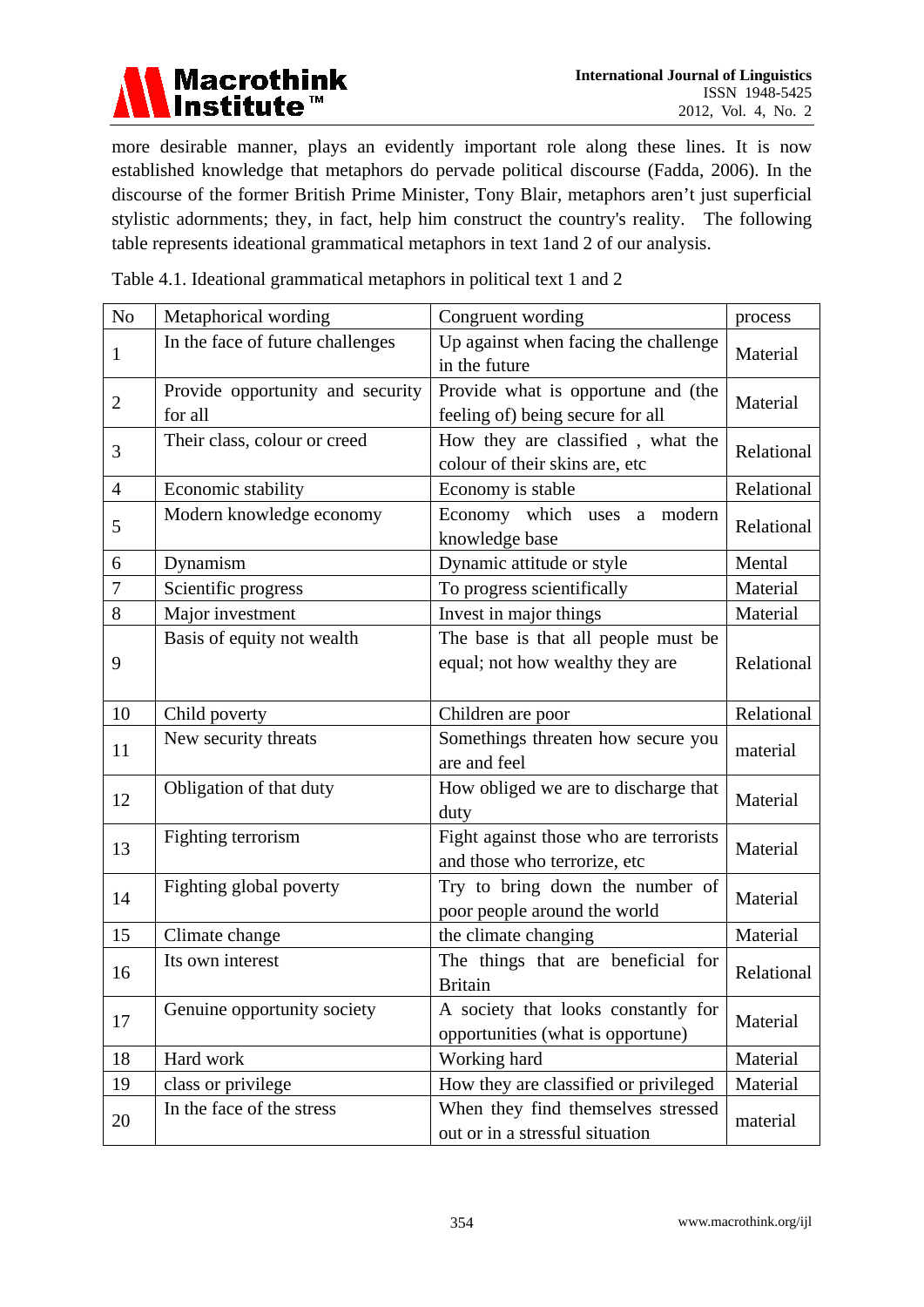# Macrothink<br>Institute™

more desirable manner, plays an evidently important role along these lines. It is now established knowledge that metaphors do pervade political discourse (Fadda, 2006). In the discourse of the former British Prime Minister, Tony Blair, metaphors aren't just superficial stylistic adornments; they, in fact, help him construct the country's reality. The following table represents ideational grammatical metaphors in text 1and 2 of our analysis.

No Metaphorical wording Congruent wording process Up against when facing the challenge  $\vert$  Material in the future  $\begin{array}{|l|l|} \hline 1 & \hline \end{array}$  In the face of future challenges Provide what is opportune and (the  $\vert$  Material feeling of) being secure for all Provide opportunity and security  $\begin{array}{c|c}\n2 & \text{for all}\n\end{array}$ How they are classified, what the  $\left| \right|$  Relational colour of their skins are, etc <sup>3</sup> Their class, colour or creed 4 Economic stability Economy is stable Relational Economy which uses a modern  $\left| \right|$  Relational knowledge base 5 | Modern knowledge economy 6 Dynamism Dynamic attitude or style Mental 7 Scientific progress To progress scientifically Material 8 | Major investment | Invest in major things | Material Relational The base is that all people must be equal; not how wealthy they are Basis of equity not wealth 9 10 | Child poverty | Children are poor | Relational Somethings threaten how secure you  $\Big|$  material are and feel  $\begin{array}{|c|c|} \hline 11 & \hline \end{array}$  New security threats How obliged we are to discharge that  $\Big|$  Material duty  $12$  Obligation of that duty Fight against those who are terrorists  $\vert$  Material and those who terrorize, etc  $\left| \right|$  Fighting terrorism Try to bring down the number of  $\vert$  Material poor people around the world  $\begin{array}{|c|c|} \hline 14 & \hline \end{array}$  Fighting global poverty 15 Climate change the climate changing Material The things that are beneficial for  $\left|$  Relational Britain  $16$  Its own interest A society that looks constantly for  $\vert$  Material opportunities (what is opportune) <sup>17</sup> Genuine opportunity society 18 | Hard work Working hard Material 19 class or privilege How they are classified or privileged Material When they find themselves stressed  $\Big|$  material out or in a stressful situation  $\begin{array}{|l|} \hline 20 \end{array}$  In the face of the stress

Table 4.1. Ideational grammatical metaphors in political text 1 and 2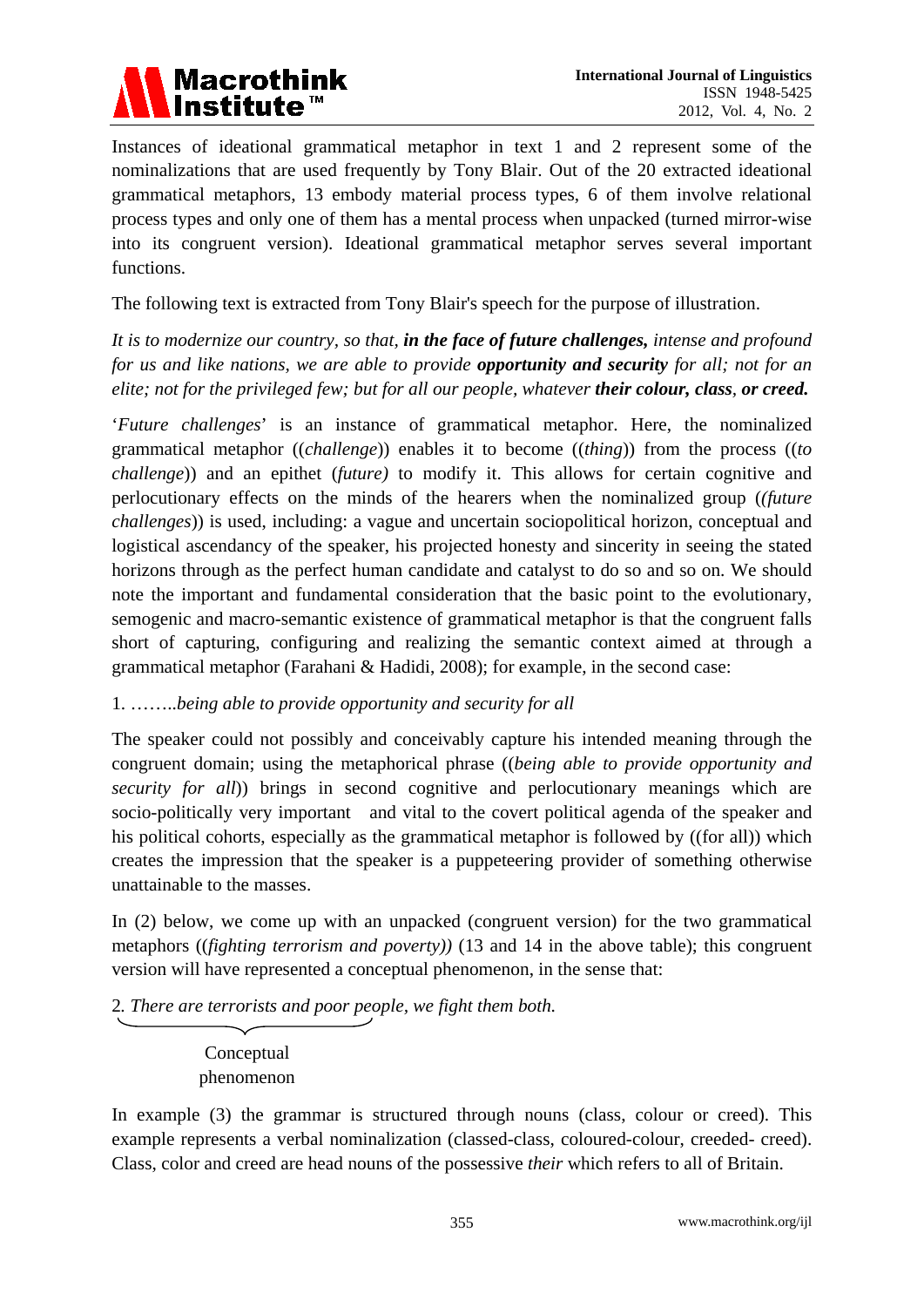

Instances of ideational grammatical metaphor in text 1 and 2 represent some of the nominalizations that are used frequently by Tony Blair. Out of the 20 extracted ideational grammatical metaphors, 13 embody material process types, 6 of them involve relational process types and only one of them has a mental process when unpacked (turned mirror-wise into its congruent version). Ideational grammatical metaphor serves several important functions.

The following text is extracted from Tony Blair's speech for the purpose of illustration.

*It is to modernize our country, so that, in the face of future challenges, intense and profound for us and like nations, we are able to provide opportunity and security for all; not for an elite; not for the privileged few; but for all our people, whatever their colour, class, or creed.* 

'*Future challenges*' is an instance of grammatical metaphor. Here, the nominalized grammatical metaphor ((*challenge*)) enables it to become ((*thing*)) from the process ((*to challenge*)) and an epithet (*future)* to modify it. This allows for certain cognitive and perlocutionary effects on the minds of the hearers when the nominalized group (*(future challenges*)) is used, including: a vague and uncertain sociopolitical horizon, conceptual and logistical ascendancy of the speaker, his projected honesty and sincerity in seeing the stated horizons through as the perfect human candidate and catalyst to do so and so on. We should note the important and fundamental consideration that the basic point to the evolutionary, semogenic and macro-semantic existence of grammatical metaphor is that the congruent falls short of capturing, configuring and realizing the semantic context aimed at through a grammatical metaphor (Farahani & Hadidi, 2008); for example, in the second case:

# 1. ……..*being able to provide opportunity and security for all*

The speaker could not possibly and conceivably capture his intended meaning through the congruent domain; using the metaphorical phrase ((*being able to provide opportunity and security for all*)) brings in second cognitive and perlocutionary meanings which are socio-politically very important and vital to the covert political agenda of the speaker and his political cohorts, especially as the grammatical metaphor is followed by ((for all)) which creates the impression that the speaker is a puppeteering provider of something otherwise unattainable to the masses.

In (2) below, we come up with an unpacked (congruent version) for the two grammatical metaphors ((*fighting terrorism and poverty))* (13 and 14 in the above table); this congruent version will have represented a conceptual phenomenon, in the sense that:

2*. There are terrorists and poor people, we fight them both.* 

Conceptual phenomenon

In example (3) the grammar is structured through nouns (class, colour or creed). This example represents a verbal nominalization (classed-class, coloured-colour, creeded- creed). Class, color and creed are head nouns of the possessive *their* which refers to all of Britain.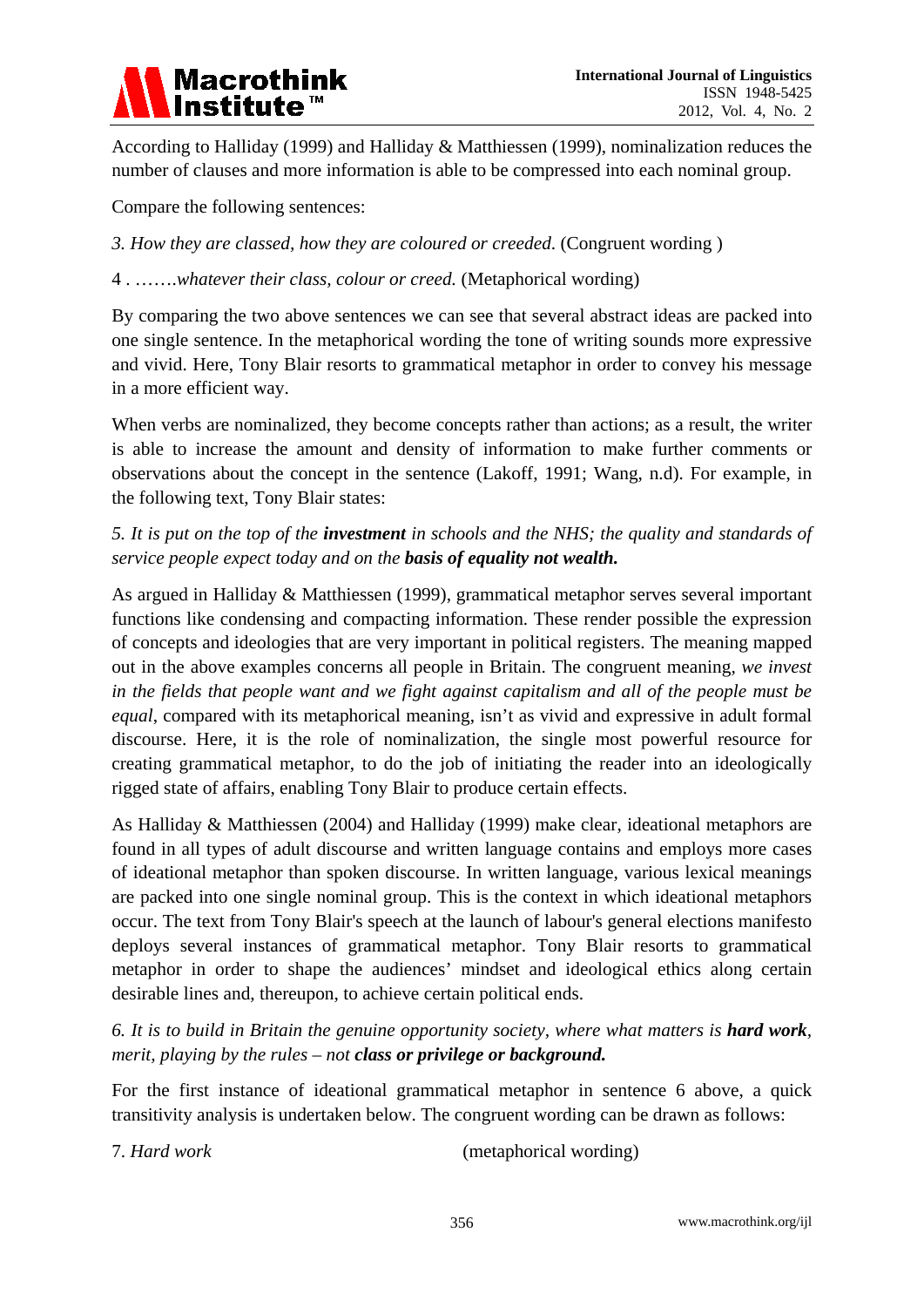

According to Halliday (1999) and Halliday & Matthiessen (1999), nominalization reduces the number of clauses and more information is able to be compressed into each nominal group.

Compare the following sentences:

*3. How they are classed, how they are coloured or creeded*. (Congruent wording )

4 . …….*whatever their class, colour or creed.* (Metaphorical wording)

By comparing the two above sentences we can see that several abstract ideas are packed into one single sentence. In the metaphorical wording the tone of writing sounds more expressive and vivid. Here, Tony Blair resorts to grammatical metaphor in order to convey his message in a more efficient way.

When verbs are nominalized, they become concepts rather than actions; as a result, the writer is able to increase the amount and density of information to make further comments or observations about the concept in the sentence (Lakoff, 1991; Wang, n.d). For example, in the following text, Tony Blair states:

*5. It is put on the top of the investment in schools and the NHS; the quality and standards of service people expect today and on the basis of equality not wealth.* 

As argued in Halliday & Matthiessen (1999), grammatical metaphor serves several important functions like condensing and compacting information. These render possible the expression of concepts and ideologies that are very important in political registers. The meaning mapped out in the above examples concerns all people in Britain. The congruent meaning*, we invest in the fields that people want and we fight against capitalism and all of the people must be equal*, compared with its metaphorical meaning, isn't as vivid and expressive in adult formal discourse. Here, it is the role of nominalization, the single most powerful resource for creating grammatical metaphor, to do the job of initiating the reader into an ideologically rigged state of affairs, enabling Tony Blair to produce certain effects.

As Halliday & Matthiessen (2004) and Halliday (1999) make clear, ideational metaphors are found in all types of adult discourse and written language contains and employs more cases of ideational metaphor than spoken discourse. In written language, various lexical meanings are packed into one single nominal group. This is the context in which ideational metaphors occur. The text from Tony Blair's speech at the launch of labour's general elections manifesto deploys several instances of grammatical metaphor. Tony Blair resorts to grammatical metaphor in order to shape the audiences' mindset and ideological ethics along certain desirable lines and, thereupon, to achieve certain political ends.

*6. It is to build in Britain the genuine opportunity society, where what matters is hard work, merit, playing by the rules – not class or privilege or background.* 

For the first instance of ideational grammatical metaphor in sentence 6 above, a quick transitivity analysis is undertaken below. The congruent wording can be drawn as follows:

7. *Hard work* (metaphorical wording)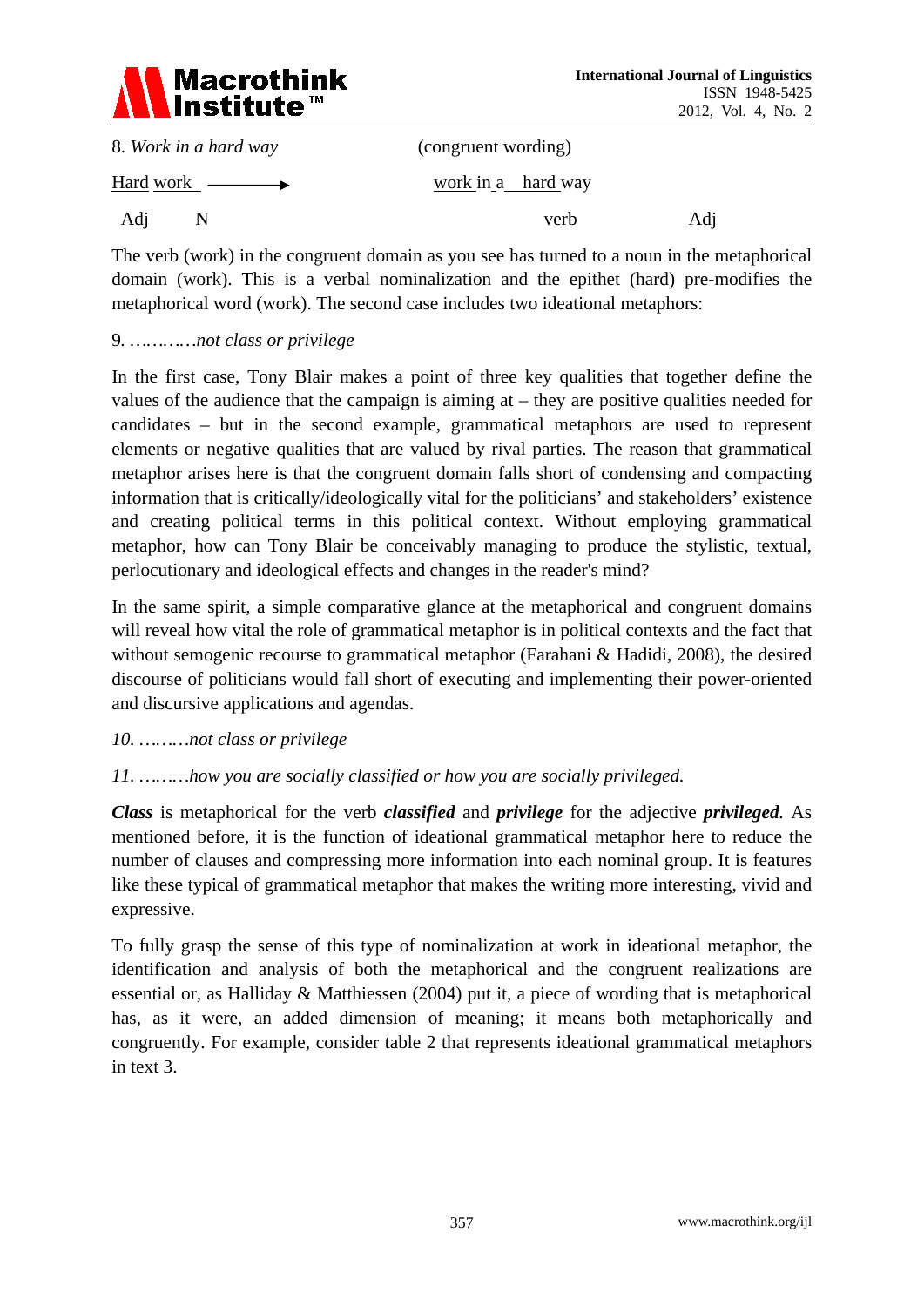

| 8. Work in a hard way       | (congruent wording) |      |     |
|-----------------------------|---------------------|------|-----|
| Hard work $\longrightarrow$ | work in a hard way  |      |     |
| Adj<br>N                    |                     | verb | Adj |

The verb (work) in the congruent domain as you see has turned to a noun in the metaphorical domain (work). This is a verbal nominalization and the epithet (hard) pre-modifies the metaphorical word (work). The second case includes two ideational metaphors:

#### 9*. …………not class or privilege*

In the first case, Tony Blair makes a point of three key qualities that together define the values of the audience that the campaign is aiming at – they are positive qualities needed for candidates – but in the second example, grammatical metaphors are used to represent elements or negative qualities that are valued by rival parties. The reason that grammatical metaphor arises here is that the congruent domain falls short of condensing and compacting information that is critically/ideologically vital for the politicians' and stakeholders' existence and creating political terms in this political context. Without employing grammatical metaphor, how can Tony Blair be conceivably managing to produce the stylistic, textual, perlocutionary and ideological effects and changes in the reader's mind?

In the same spirit, a simple comparative glance at the metaphorical and congruent domains will reveal how vital the role of grammatical metaphor is in political contexts and the fact that without semogenic recourse to grammatical metaphor (Farahani & Hadidi, 2008), the desired discourse of politicians would fall short of executing and implementing their power-oriented and discursive applications and agendas.

# *10. ………not class or privilege*

# *11. ………how you are socially classified or how you are socially privileged.*

*Class* is metaphorical for the verb *classified* and *privilege* for the adjective *privileged.* As mentioned before, it is the function of ideational grammatical metaphor here to reduce the number of clauses and compressing more information into each nominal group. It is features like these typical of grammatical metaphor that makes the writing more interesting, vivid and expressive.

To fully grasp the sense of this type of nominalization at work in ideational metaphor, the identification and analysis of both the metaphorical and the congruent realizations are essential or, as Halliday & Matthiessen (2004) put it, a piece of wording that is metaphorical has, as it were, an added dimension of meaning; it means both metaphorically and congruently. For example, consider table 2 that represents ideational grammatical metaphors in text 3.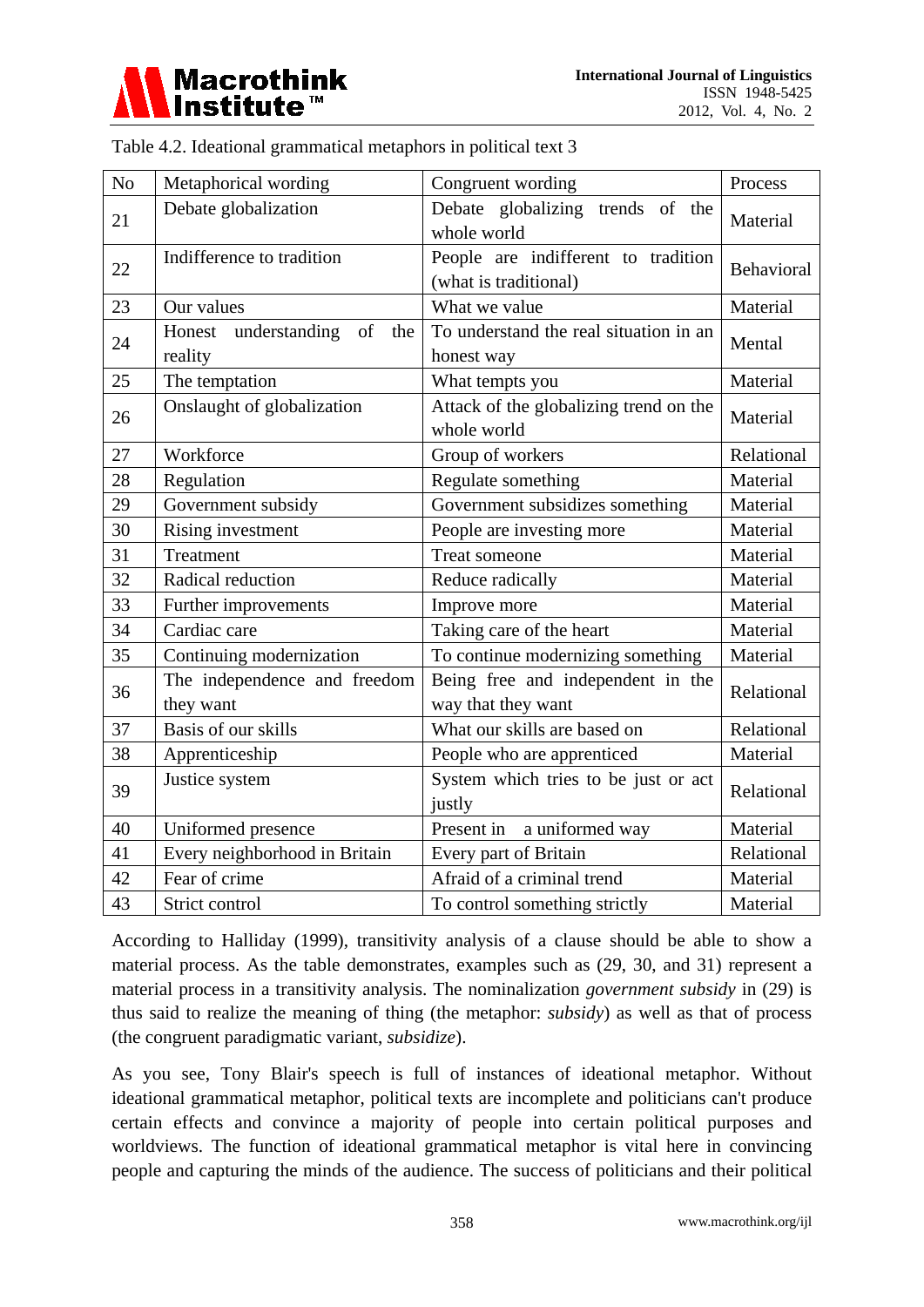

| N <sub>o</sub> | Metaphorical wording                         | Congruent wording                                            | Process           |
|----------------|----------------------------------------------|--------------------------------------------------------------|-------------------|
| 21             | Debate globalization                         | Debate globalizing trends of the<br>whole world              | Material          |
| 22             | Indifference to tradition                    | People are indifferent to tradition<br>(what is traditional) | <b>Behavioral</b> |
| 23             | Our values                                   | What we value                                                | Material          |
| 24             | Honest understanding<br>of<br>the<br>reality | To understand the real situation in an<br>honest way         | Mental            |
| 25             | The temptation                               | What tempts you                                              | Material          |
| 26             | Onslaught of globalization                   | Attack of the globalizing trend on the<br>whole world        | Material          |
| 27             | Workforce                                    | Group of workers                                             | Relational        |
| 28             | Regulation                                   | Regulate something                                           | Material          |
| 29             | Government subsidy                           | Government subsidizes something                              | Material          |
| 30             | Rising investment                            | People are investing more                                    | Material          |
| 31             | Treatment                                    | Treat someone                                                | Material          |
| 32             | Radical reduction                            | Reduce radically                                             | Material          |
| 33             | Further improvements                         | Improve more                                                 | Material          |
| 34             | Cardiac care                                 | Taking care of the heart                                     | Material          |
| 35             | Continuing modernization                     | To continue modernizing something                            | Material          |
| 36             | The independence and freedom<br>they want    | Being free and independent in the<br>way that they want      | Relational        |
| 37             | Basis of our skills                          | What our skills are based on                                 | Relational        |
| 38             | Apprenticeship                               | People who are apprenticed                                   | Material          |
| 39             | Justice system                               | System which tries to be just or act<br>justly               | Relational        |
| 40             | Uniformed presence                           | Present in a uniformed way                                   | Material          |
| 41             | Every neighborhood in Britain                | Every part of Britain                                        | Relational        |
| 42             | Fear of crime                                | Afraid of a criminal trend                                   | Material          |
| 43             | Strict control                               | To control something strictly                                | Material          |

| Table 4.2. Ideational grammatical metaphors in political text 3 |  |  |  |  |
|-----------------------------------------------------------------|--|--|--|--|
|-----------------------------------------------------------------|--|--|--|--|

According to Halliday (1999), transitivity analysis of a clause should be able to show a material process. As the table demonstrates, examples such as (29, 30, and 31) represent a material process in a transitivity analysis. The nominalization *government subsidy* in (29) is thus said to realize the meaning of thing (the metaphor: *subsidy*) as well as that of process (the congruent paradigmatic variant, *subsidize*).

As you see, Tony Blair's speech is full of instances of ideational metaphor. Without ideational grammatical metaphor, political texts are incomplete and politicians can't produce certain effects and convince a majority of people into certain political purposes and worldviews. The function of ideational grammatical metaphor is vital here in convincing people and capturing the minds of the audience. The success of politicians and their political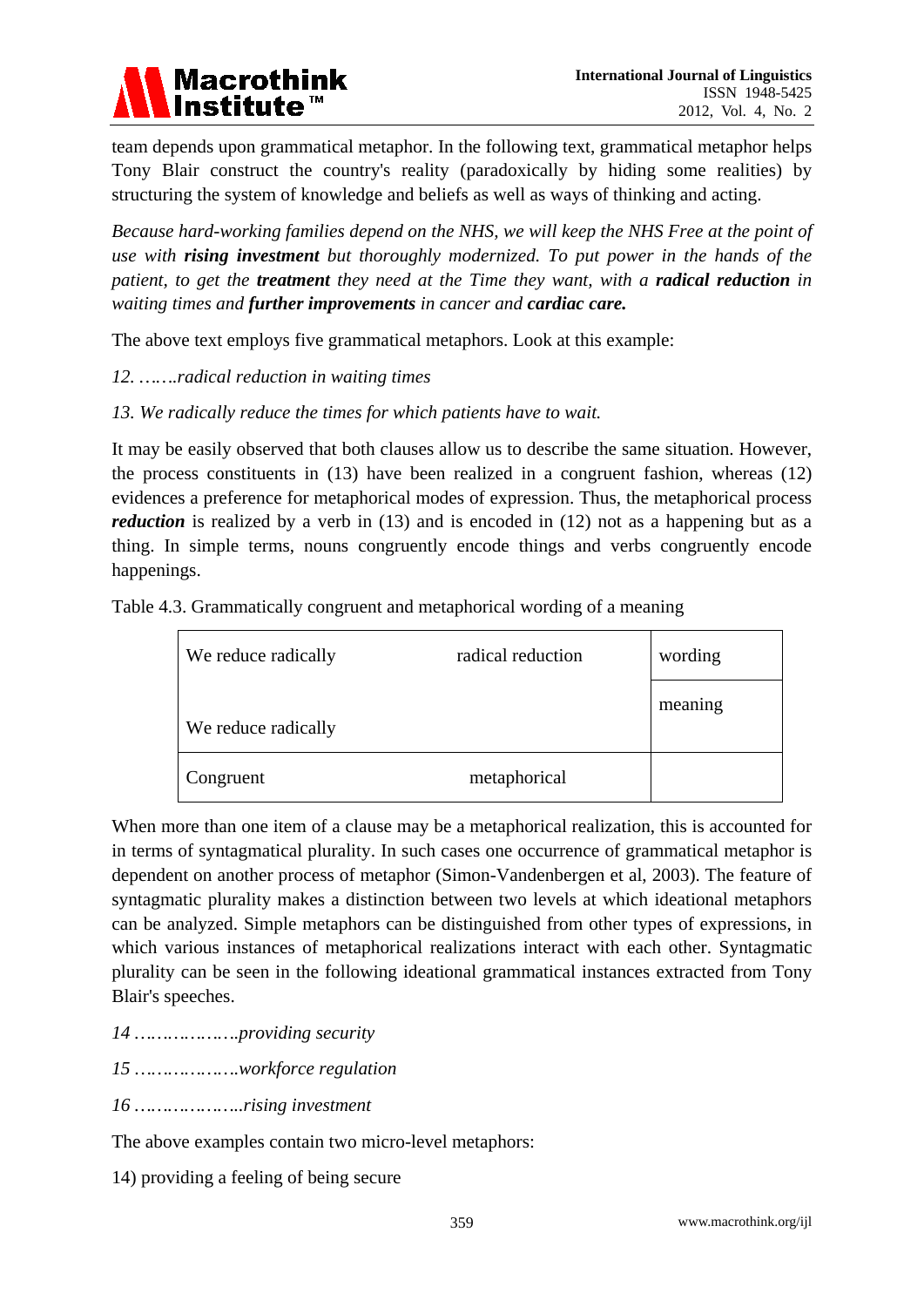

team depends upon grammatical metaphor. In the following text, grammatical metaphor helps Tony Blair construct the country's reality (paradoxically by hiding some realities) by structuring the system of knowledge and beliefs as well as ways of thinking and acting.

*Because hard-working families depend on the NHS, we will keep the NHS Free at the point of use with rising investment but thoroughly modernized. To put power in the hands of the patient, to get the treatment they need at the Time they want, with a radical reduction in waiting times and further improvements in cancer and cardiac care.* 

The above text employs five grammatical metaphors. Look at this example:

*12. …….radical reduction in waiting times* 

*13. We radically reduce the times for which patients have to wait.* 

It may be easily observed that both clauses allow us to describe the same situation. However, the process constituents in (13) have been realized in a congruent fashion, whereas (12) evidences a preference for metaphorical modes of expression. Thus, the metaphorical process *reduction* is realized by a verb in (13) and is encoded in (12) not as a happening but as a thing. In simple terms, nouns congruently encode things and verbs congruently encode happenings.

Table 4.3. Grammatically congruent and metaphorical wording of a meaning

| We reduce radically | radical reduction | wording |
|---------------------|-------------------|---------|
| We reduce radically |                   | meaning |
| Congruent           | metaphorical      |         |

When more than one item of a clause may be a metaphorical realization, this is accounted for in terms of syntagmatical plurality. In such cases one occurrence of grammatical metaphor is dependent on another process of metaphor (Simon-Vandenbergen et al, 2003). The feature of syntagmatic plurality makes a distinction between two levels at which ideational metaphors can be analyzed. Simple metaphors can be distinguished from other types of expressions, in which various instances of metaphorical realizations interact with each other. Syntagmatic plurality can be seen in the following ideational grammatical instances extracted from Tony Blair's speeches.

*14 ……………….providing security* 

*15 ……………….workforce regulation* 

*16 ………………..rising investment* 

The above examples contain two micro-level metaphors:

14) providing a feeling of being secure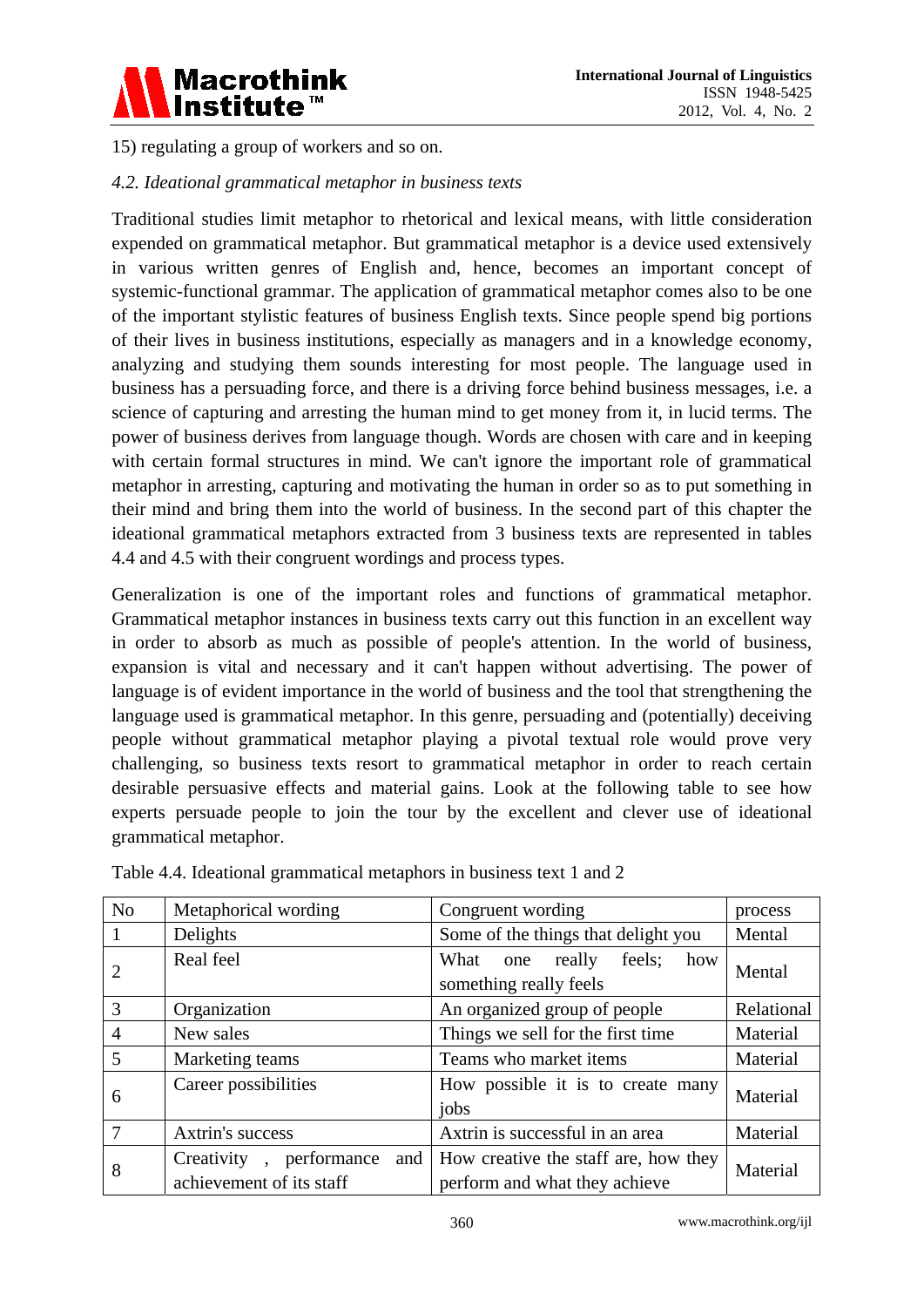

15) regulating a group of workers and so on.

# *4.2. Ideational grammatical metaphor in business texts*

Traditional studies limit metaphor to rhetorical and lexical means, with little consideration expended on grammatical metaphor. But grammatical metaphor is a device used extensively in various written genres of English and, hence, becomes an important concept of systemic-functional grammar. The application of grammatical metaphor comes also to be one of the important stylistic features of business English texts. Since people spend big portions of their lives in business institutions, especially as managers and in a knowledge economy, analyzing and studying them sounds interesting for most people. The language used in business has a persuading force, and there is a driving force behind business messages, i.e. a science of capturing and arresting the human mind to get money from it, in lucid terms. The power of business derives from language though. Words are chosen with care and in keeping with certain formal structures in mind. We can't ignore the important role of grammatical metaphor in arresting, capturing and motivating the human in order so as to put something in their mind and bring them into the world of business. In the second part of this chapter the ideational grammatical metaphors extracted from 3 business texts are represented in tables 4.4 and 4.5 with their congruent wordings and process types.

Generalization is one of the important roles and functions of grammatical metaphor. Grammatical metaphor instances in business texts carry out this function in an excellent way in order to absorb as much as possible of people's attention. In the world of business, expansion is vital and necessary and it can't happen without advertising. The power of language is of evident importance in the world of business and the tool that strengthening the language used is grammatical metaphor. In this genre, persuading and (potentially) deceiving people without grammatical metaphor playing a pivotal textual role would prove very challenging, so business texts resort to grammatical metaphor in order to reach certain desirable persuasive effects and material gains. Look at the following table to see how experts persuade people to join the tour by the excellent and clever use of ideational grammatical metaphor.

| No             | Metaphorical wording                                         | Congruent wording                                                     | process    |
|----------------|--------------------------------------------------------------|-----------------------------------------------------------------------|------------|
| $\mathbf{1}$   | Delights                                                     | Some of the things that delight you                                   | Mental     |
| $\overline{2}$ | Real feel                                                    | What<br>really<br>feels;<br>how<br>one<br>something really feels      | Mental     |
| $\overline{3}$ | Organization                                                 | An organized group of people                                          | Relational |
| $\overline{4}$ | New sales                                                    | Things we sell for the first time                                     | Material   |
| 5              | Marketing teams                                              | Teams who market items                                                | Material   |
| 6              | Career possibilities                                         | How possible it is to create many<br>jobs                             | Material   |
| $\overline{7}$ | Axtrin's success                                             | Axtrin is successful in an area                                       | Material   |
| 8              | Creativity, performance<br>and  <br>achievement of its staff | How creative the staff are, how they<br>perform and what they achieve | Material   |

Table 4.4. Ideational grammatical metaphors in business text 1 and 2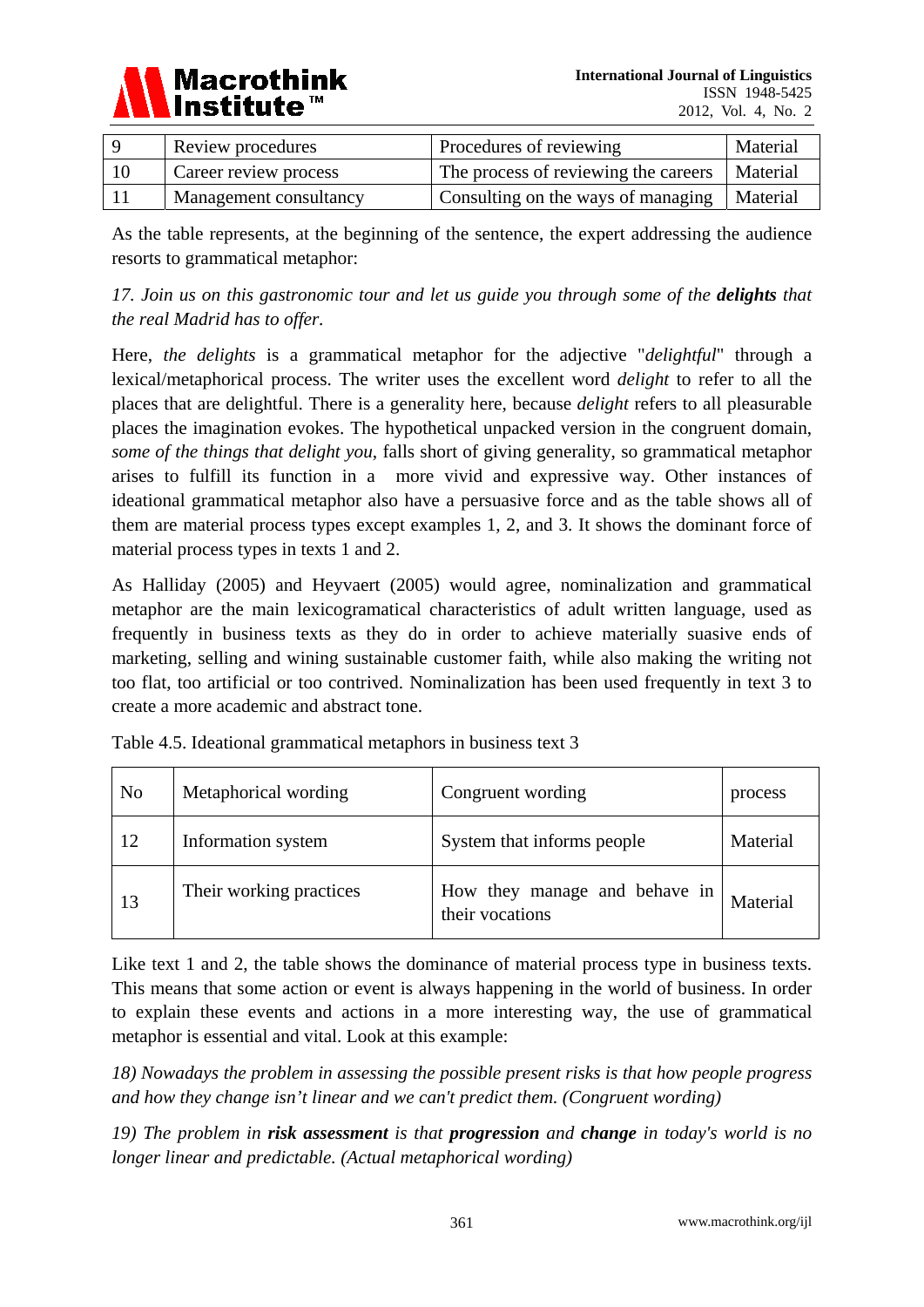

|    | Review procedures      | Procedures of reviewing                         | Material |
|----|------------------------|-------------------------------------------------|----------|
| 10 | Career review process  | The process of reviewing the careers   Material |          |
|    | Management consultancy | Consulting on the ways of managing   Material   |          |

As the table represents, at the beginning of the sentence, the expert addressing the audience resorts to grammatical metaphor:

*17. Join us on this gastronomic tour and let us guide you through some of the delights that the real Madrid has to offer.* 

Here, *the delights* is a grammatical metaphor for the adjective "*delightful*" through a lexical/metaphorical process. The writer uses the excellent word *delight* to refer to all the places that are delightful. There is a generality here, because *delight* refers to all pleasurable places the imagination evokes. The hypothetical unpacked version in the congruent domain, *some of the things that delight you*, falls short of giving generality, so grammatical metaphor arises to fulfill its function in a more vivid and expressive way. Other instances of ideational grammatical metaphor also have a persuasive force and as the table shows all of them are material process types except examples 1, 2, and 3. It shows the dominant force of material process types in texts 1 and 2.

As Halliday (2005) and Heyvaert (2005) would agree, nominalization and grammatical metaphor are the main lexicogramatical characteristics of adult written language, used as frequently in business texts as they do in order to achieve materially suasive ends of marketing, selling and wining sustainable customer faith, while also making the writing not too flat, too artificial or too contrived. Nominalization has been used frequently in text 3 to create a more academic and abstract tone.

| N <sub>o</sub> | Metaphorical wording    | Congruent wording                                | process  |
|----------------|-------------------------|--------------------------------------------------|----------|
| <sup>12</sup>  | Information system      | System that informs people                       | Material |
| 13             | Their working practices | How they manage and behave in<br>their vocations | Material |

Table 4.5. Ideational grammatical metaphors in business text 3

Like text 1 and 2, the table shows the dominance of material process type in business texts. This means that some action or event is always happening in the world of business. In order to explain these events and actions in a more interesting way, the use of grammatical metaphor is essential and vital. Look at this example:

*18) Nowadays the problem in assessing the possible present risks is that how people progress and how they change isn't linear and we can't predict them. (Congruent wording)* 

*19) The problem in risk assessment is that progression and change in today's world is no longer linear and predictable. (Actual metaphorical wording)*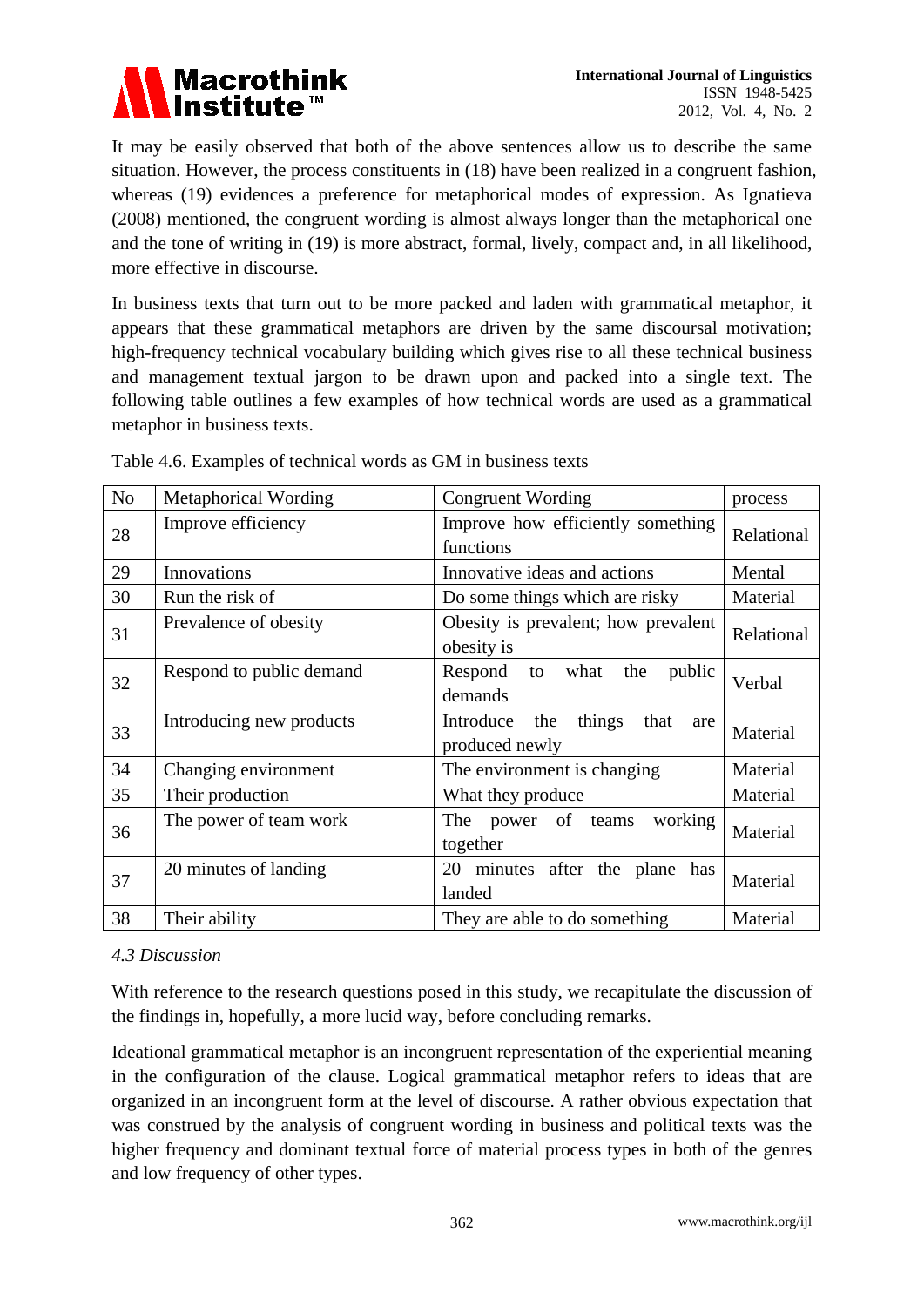

It may be easily observed that both of the above sentences allow us to describe the same situation. However, the process constituents in (18) have been realized in a congruent fashion, whereas (19) evidences a preference for metaphorical modes of expression. As Ignatieva (2008) mentioned, the congruent wording is almost always longer than the metaphorical one and the tone of writing in (19) is more abstract, formal, lively, compact and, in all likelihood, more effective in discourse.

In business texts that turn out to be more packed and laden with grammatical metaphor, it appears that these grammatical metaphors are driven by the same discoursal motivation; high-frequency technical vocabulary building which gives rise to all these technical business and management textual jargon to be drawn upon and packed into a single text. The following table outlines a few examples of how technical words are used as a grammatical metaphor in business texts.

| $\rm No$ | <b>Metaphorical Wording</b> | <b>Congruent Wording</b>                                    | process    |
|----------|-----------------------------|-------------------------------------------------------------|------------|
| 28       | Improve efficiency          | Improve how efficiently something<br>functions              | Relational |
| 29       | Innovations                 | Innovative ideas and actions                                | Mental     |
| 30       | Run the risk of             | Do some things which are risky                              | Material   |
| 31       | Prevalence of obesity       | Obesity is prevalent; how prevalent<br>obesity is           | Relational |
| 32       | Respond to public demand    | Respond<br>what<br>the<br>public<br>to<br>demands           | Verbal     |
| 33       | Introducing new products    | things<br>Introduce<br>the<br>that<br>are<br>produced newly | Material   |
| 34       | Changing environment        | The environment is changing                                 | Material   |
| 35       | Their production            | What they produce                                           | Material   |
| 36       | The power of team work      | power of teams<br>working<br>The<br>together                | Material   |
| 37       | 20 minutes of landing       | minutes after the plane has<br>20<br>landed                 | Material   |
| 38       | Their ability               | They are able to do something                               | Material   |

Table 4.6. Examples of technical words as GM in business texts

# *4.3 Discussion*

With reference to the research questions posed in this study, we recapitulate the discussion of the findings in, hopefully, a more lucid way, before concluding remarks.

Ideational grammatical metaphor is an incongruent representation of the experiential meaning in the configuration of the clause. Logical grammatical metaphor refers to ideas that are organized in an incongruent form at the level of discourse. A rather obvious expectation that was construed by the analysis of congruent wording in business and political texts was the higher frequency and dominant textual force of material process types in both of the genres and low frequency of other types.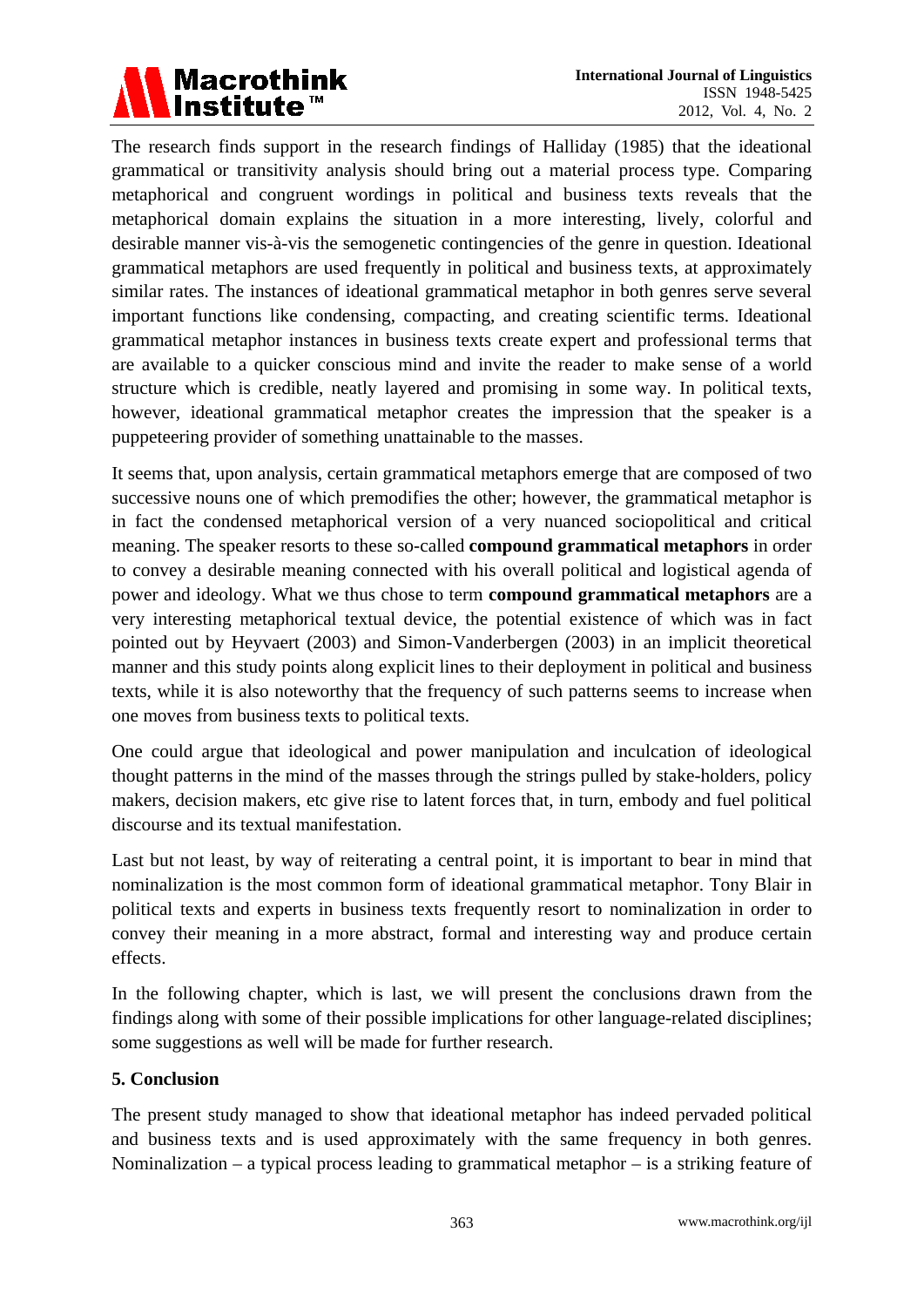

The research finds support in the research findings of Halliday (1985) that the ideational grammatical or transitivity analysis should bring out a material process type. Comparing metaphorical and congruent wordings in political and business texts reveals that the metaphorical domain explains the situation in a more interesting, lively, colorful and desirable manner vis-à-vis the semogenetic contingencies of the genre in question. Ideational grammatical metaphors are used frequently in political and business texts, at approximately similar rates. The instances of ideational grammatical metaphor in both genres serve several important functions like condensing, compacting, and creating scientific terms. Ideational grammatical metaphor instances in business texts create expert and professional terms that are available to a quicker conscious mind and invite the reader to make sense of a world structure which is credible, neatly layered and promising in some way. In political texts, however, ideational grammatical metaphor creates the impression that the speaker is a puppeteering provider of something unattainable to the masses.

It seems that, upon analysis, certain grammatical metaphors emerge that are composed of two successive nouns one of which premodifies the other; however, the grammatical metaphor is in fact the condensed metaphorical version of a very nuanced sociopolitical and critical meaning. The speaker resorts to these so-called **compound grammatical metaphors** in order to convey a desirable meaning connected with his overall political and logistical agenda of power and ideology. What we thus chose to term **compound grammatical metaphors** are a very interesting metaphorical textual device, the potential existence of which was in fact pointed out by Heyvaert (2003) and Simon-Vanderbergen (2003) in an implicit theoretical manner and this study points along explicit lines to their deployment in political and business texts, while it is also noteworthy that the frequency of such patterns seems to increase when one moves from business texts to political texts.

One could argue that ideological and power manipulation and inculcation of ideological thought patterns in the mind of the masses through the strings pulled by stake-holders, policy makers, decision makers, etc give rise to latent forces that, in turn, embody and fuel political discourse and its textual manifestation.

Last but not least, by way of reiterating a central point, it is important to bear in mind that nominalization is the most common form of ideational grammatical metaphor. Tony Blair in political texts and experts in business texts frequently resort to nominalization in order to convey their meaning in a more abstract, formal and interesting way and produce certain effects.

In the following chapter, which is last, we will present the conclusions drawn from the findings along with some of their possible implications for other language-related disciplines; some suggestions as well will be made for further research.

#### **5. Conclusion**

The present study managed to show that ideational metaphor has indeed pervaded political and business texts and is used approximately with the same frequency in both genres. Nominalization – a typical process leading to grammatical metaphor – is a striking feature of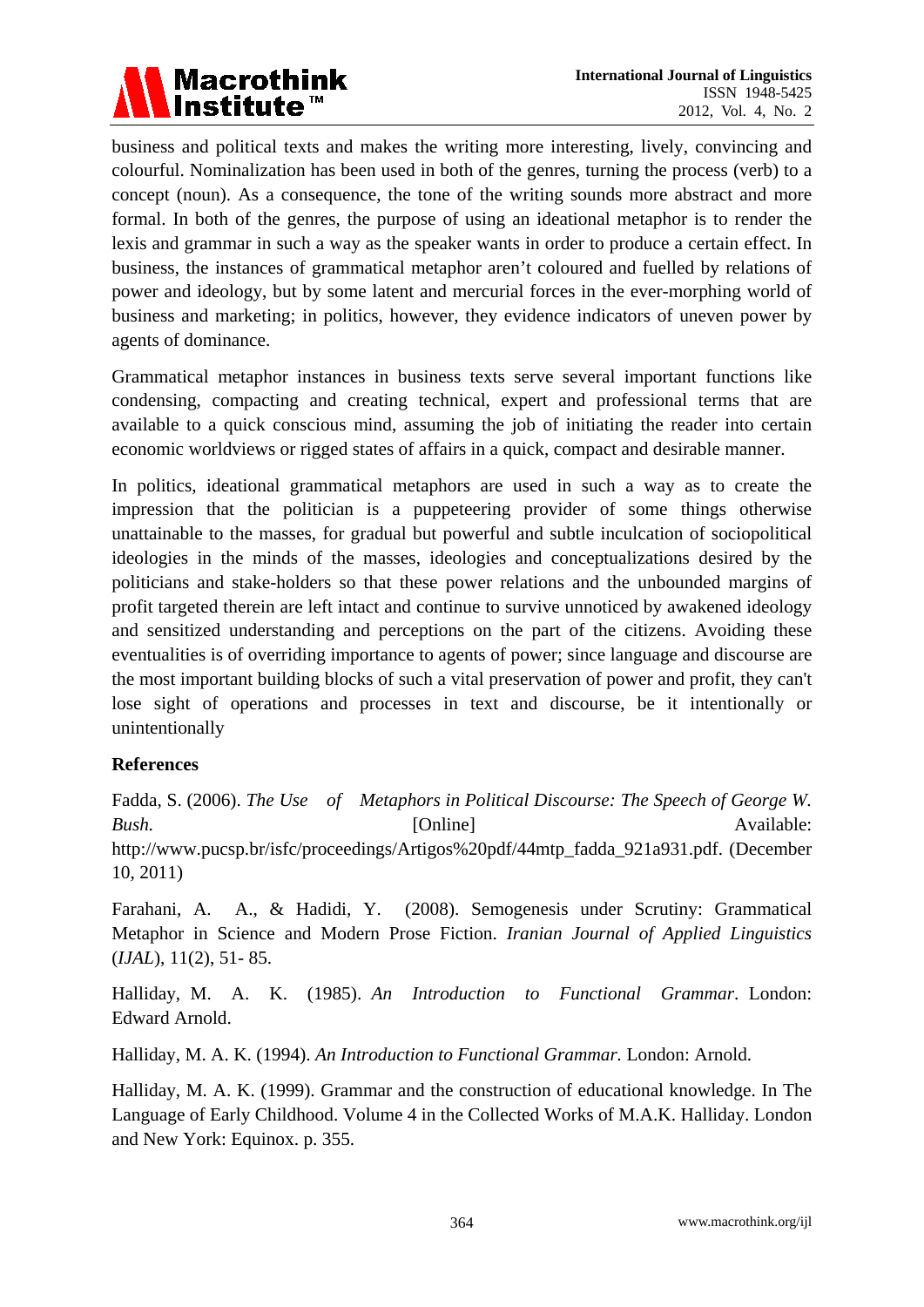

business and political texts and makes the writing more interesting, lively, convincing and colourful. Nominalization has been used in both of the genres, turning the process (verb) to a concept (noun). As a consequence, the tone of the writing sounds more abstract and more formal. In both of the genres, the purpose of using an ideational metaphor is to render the lexis and grammar in such a way as the speaker wants in order to produce a certain effect. In business, the instances of grammatical metaphor aren't coloured and fuelled by relations of power and ideology, but by some latent and mercurial forces in the ever-morphing world of business and marketing; in politics, however, they evidence indicators of uneven power by agents of dominance.

Grammatical metaphor instances in business texts serve several important functions like condensing, compacting and creating technical, expert and professional terms that are available to a quick conscious mind, assuming the job of initiating the reader into certain economic worldviews or rigged states of affairs in a quick, compact and desirable manner.

In politics, ideational grammatical metaphors are used in such a way as to create the impression that the politician is a puppeteering provider of some things otherwise unattainable to the masses, for gradual but powerful and subtle inculcation of sociopolitical ideologies in the minds of the masses, ideologies and conceptualizations desired by the politicians and stake-holders so that these power relations and the unbounded margins of profit targeted therein are left intact and continue to survive unnoticed by awakened ideology and sensitized understanding and perceptions on the part of the citizens. Avoiding these eventualities is of overriding importance to agents of power; since language and discourse are the most important building blocks of such a vital preservation of power and profit, they can't lose sight of operations and processes in text and discourse, be it intentionally or unintentionally

# **References**

Fadda, S. (2006). *The Use of Metaphors in Political Discourse: The Speech of George W. Bush.* [Online] **Available:** http://www.pucsp.br/isfc/proceedings/Artigos%20pdf/44mtp\_fadda\_921a931.pdf. (December 10, 2011)

Farahani, A. A., & Hadidi, Y. (2008). Semogenesis under Scrutiny: Grammatical Metaphor in Science and Modern Prose Fiction. *Iranian Journal of Applied Linguistics*  (*IJAL*), 11(2), 51- 85.

Halliday, M. A. K. (1985). *An Introduction to Functional Grammar*. London: Edward Arnold.

Halliday, M. A. K. (1994). *An Introduction to Functional Grammar.* London: Arnold.

Halliday, M. A. K. (1999). Grammar and the construction of educational knowledge. In The Language of Early Childhood. Volume 4 in the Collected Works of M.A.K. Halliday. London and New York: Equinox. p. 355.